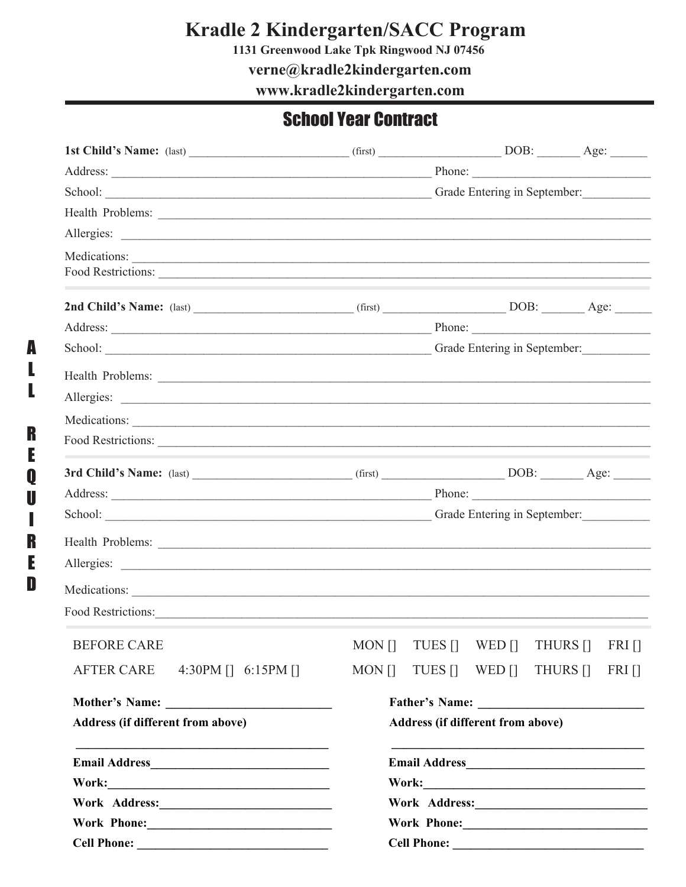# Kradle 2 Kindergarten/SACC Program<br>1131 Greenwood Lake Tpk Ringwood NJ 07456

verne@kradle2kindergarten.com

www.kradle2kindergarten.com

### **School Year Contract**

| Address: Phone: Phone: Phone: Phone: Phone: Phone: Phone: Phone: Phone: Phone: Phone: Phone: Phone: Phone: Phone: Phone: Phone: Phone: Phone: Phone: Phone: Phone: Phone: Phone: Phone: Phone: Phone: Phone: Phone: Phone: Pho       |                                                                                                                                                                                                                                |                    |        |                                |              |
|--------------------------------------------------------------------------------------------------------------------------------------------------------------------------------------------------------------------------------------|--------------------------------------------------------------------------------------------------------------------------------------------------------------------------------------------------------------------------------|--------------------|--------|--------------------------------|--------------|
| School: Charles Contains a Contact Contains a Contact Contact Contact Contact Contact Contact Contact Contact Contact Contact Contact Contact Contact Contact Contact Contact Contact Contact Contact Contact Contact Contact        |                                                                                                                                                                                                                                |                    |        |                                |              |
| Health Problems: <u>example and the set of the set of the set of the set of the set of the set of the set of the set of the set of the set of the set of the set of the set of the set of the set of the set of the set of the s</u> |                                                                                                                                                                                                                                |                    |        |                                |              |
|                                                                                                                                                                                                                                      |                                                                                                                                                                                                                                |                    |        |                                |              |
| Food Restrictions:                                                                                                                                                                                                                   |                                                                                                                                                                                                                                |                    |        |                                |              |
| 2nd Child's Name: (last) ________________________(first) ______________________DOB: __________Age: _______                                                                                                                           |                                                                                                                                                                                                                                |                    |        |                                |              |
| Address: Phone: Phone: Phone: Phone: Phone: Phone: Phone: Phone: Phone: Phone: Phone: Phone: Phone: Phone: Phone: Phone: Phone: Phone: Phone: Phone: Phone: Phone: Phone: Phone: Phone: Phone: Phone: Phone: Phone: Phone: Pho       |                                                                                                                                                                                                                                |                    |        |                                |              |
| School: Changes of Grade Entering in September:                                                                                                                                                                                      |                                                                                                                                                                                                                                |                    |        |                                |              |
| Health Problems: <u>example and the set of the set of the set of the set of the set of the set of the set of the set of the set of the set of the set of the set of the set of the set of the set of the set of the set of the s</u> |                                                                                                                                                                                                                                |                    |        |                                |              |
|                                                                                                                                                                                                                                      |                                                                                                                                                                                                                                |                    |        |                                |              |
|                                                                                                                                                                                                                                      |                                                                                                                                                                                                                                |                    |        |                                |              |
|                                                                                                                                                                                                                                      |                                                                                                                                                                                                                                |                    |        |                                |              |
|                                                                                                                                                                                                                                      |                                                                                                                                                                                                                                |                    |        |                                |              |
|                                                                                                                                                                                                                                      |                                                                                                                                                                                                                                |                    |        |                                |              |
|                                                                                                                                                                                                                                      |                                                                                                                                                                                                                                |                    |        |                                |              |
|                                                                                                                                                                                                                                      |                                                                                                                                                                                                                                |                    |        |                                |              |
|                                                                                                                                                                                                                                      |                                                                                                                                                                                                                                |                    |        |                                |              |
|                                                                                                                                                                                                                                      |                                                                                                                                                                                                                                |                    |        |                                |              |
| Food Restrictions:                                                                                                                                                                                                                   |                                                                                                                                                                                                                                |                    |        |                                |              |
| <b>BEFORE CARE</b>                                                                                                                                                                                                                   |                                                                                                                                                                                                                                |                    |        | MON [] TUES [] WED [] THURS [] | <b>FRI</b>   |
| <b>AFTER CARE</b><br>4:30PM $\begin{bmatrix} 1 \\ 6 \end{bmatrix}$ 6:15PM $\begin{bmatrix} 1 \\ 1 \end{bmatrix}$                                                                                                                     | $MON$ $\Box$                                                                                                                                                                                                                   | TUES <sup>[]</sup> | WED [] | THURS []                       | $FRI$ $\Box$ |
|                                                                                                                                                                                                                                      |                                                                                                                                                                                                                                |                    |        |                                |              |
| Address (if different from above)                                                                                                                                                                                                    | Address (if different from above)                                                                                                                                                                                              |                    |        |                                |              |
| <u> 1989 - Johann John Stone, mars eta inperiodo eta inperiodo eta inperiodo eta inperiodo eta inperiodo eta inp</u><br>Email Address<br><u>Land Address</u>                                                                         | <u> 1999 - Johann John Stoff, mars eta biztanleria (h. 1908).</u><br>Email Address <b>Email Address</b>                                                                                                                        |                    |        |                                |              |
|                                                                                                                                                                                                                                      | Work Address: Management of the Management of the Management of the Management of the Management of the Management of the Management of the Management of the Management of the Management of the Management of the Management |                    |        |                                |              |
| Work Address: Management of the Management of the Management of the Management of the Management of the Management of the Management of the Management of the Management of the Management of the Management of the Management       |                                                                                                                                                                                                                                |                    |        |                                |              |
|                                                                                                                                                                                                                                      |                                                                                                                                                                                                                                |                    |        |                                |              |
|                                                                                                                                                                                                                                      |                                                                                                                                                                                                                                |                    |        |                                |              |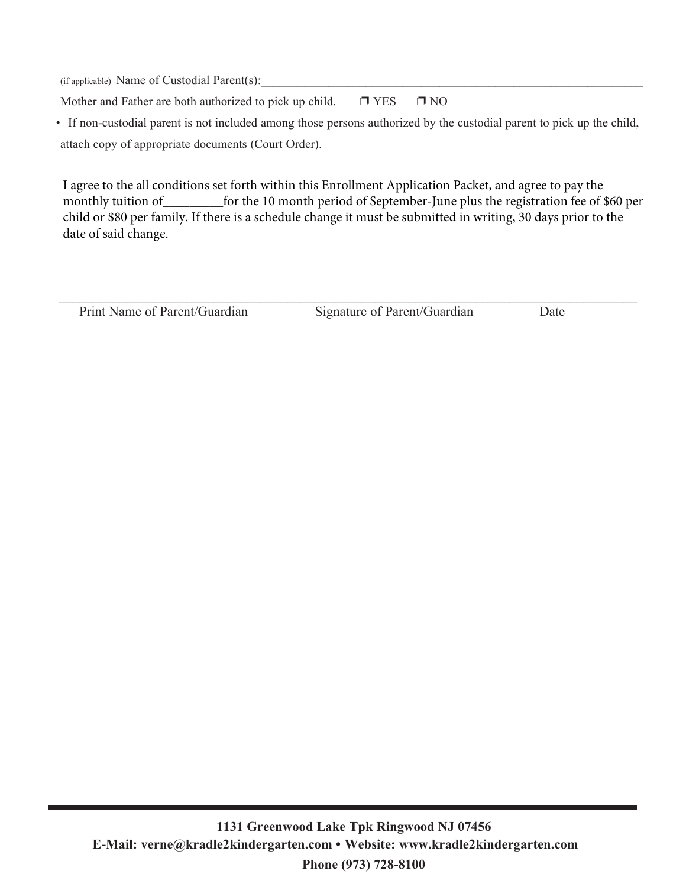$(i$ f applicable) Name of Custodial Parent $(s)$ :

Mother and Father are both authorized to pick up child.  $\square$  YES  $\square$  NO

• If non-custodial parent is not included among those persons authorized by the custodial parent to pick up the child, attach copy of appropriate documents (Court Order).

I agree to the all conditions set forth within this Enrollment Application Packet, and agree to pay the monthly tuition of \_\_\_\_\_\_\_\_\_\_\_\_\_ for the 10 month period of September-June plus the registration fee of \$60 per child or \$80 per family. If there is a schedule change it must be submitted in writing, 30 days prior to the date of said change.

Print Name of Parent/Guardian Signature of Parent/Guardian Date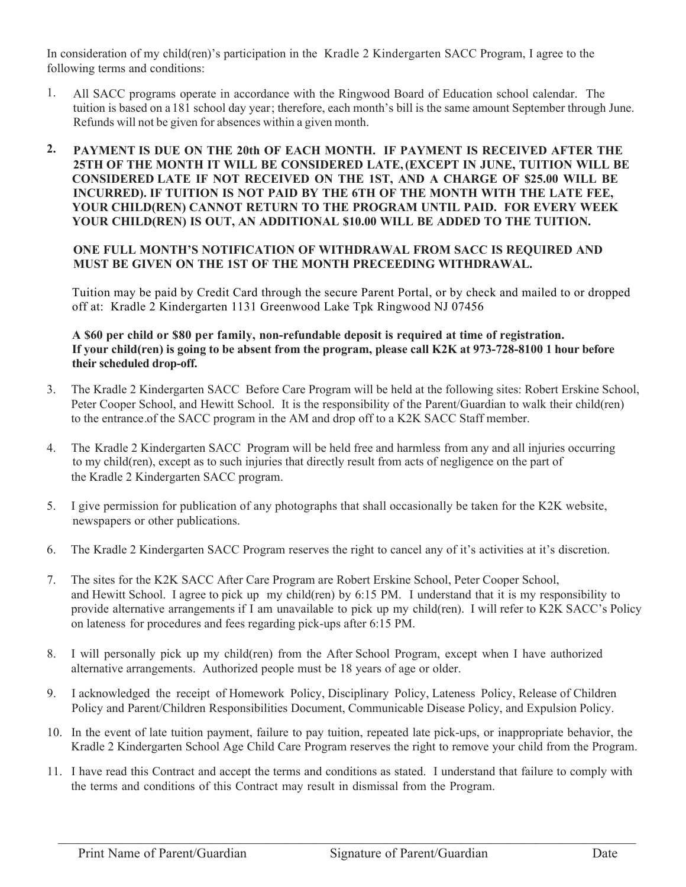In consideration of my child(ren)'s participation in the Kradle 2 Kindergarten SACC Program, I agree to the following terms and conditions:

- 1. All SACC programs operate in accordance with the Ringwood Board of Education school calendar. The tuition is based on a 181 school day year; therefore, each month's bill is the same amount September through June. Refunds will not be given for absences within a given month.
- **2. PAYMENT IS DUE ON THE 20th OF EACH MONTH. IF PAYMENT IS RECEIVED AFTER THE 25TH OF THE MONTH IT WILL BE CONSIDERED LATE, (EXCEPT IN JUNE, TUITION WILL BE CONSIDERED LATE IF NOT RECEIVED ON THE 1ST, AND A CHARGE OF \$25.00 WILL BE INCURRED). IF TUITION IS NOT PAID BY THE 6TH OF THE MONTH WITH THE LATE FEE, YOUR CHILD(REN) CANNOT RETURN TO THE PROGRAM UNTIL PAID. FOR EVERY WEEK YOUR CHILD(REN) IS OUT, AN ADDITIONAL \$10.00 WILL BE ADDED TO THE TUITION.**

#### **ONE FULL MONTH'S NOTIFICATION OF WITHDRAWAL FROM SACC IS REQUIRED AND MUST BE GIVEN ON THE 1ST OF THE MONTH PRECEEDING WITHDRAWAL.**

Tuition may be paid by Credit Card through the secure Parent Portal, or by check and mailed to or dropped off at: Kradle 2 Kindergarten 1131 Greenwood Lake Tpk Ringwood NJ 07456

#### **A \$60 per child or \$80 per family, non-refundable deposit is required at time of registration. If your child(ren) is going to be absent from the program, please call K2K at 973-728-8100 1 hour before their scheduled drop-off.**

- 3. The Kradle 2 Kindergarten SACC Before Care Program will be held at the following sites: Robert Erskine School, Peter Cooper School, and Hewitt School. It is the responsibility of the Parent/Guardian to walk their child(ren) to the entrance of the SACC program in the AM and drop off to a K2K SACC Staff member. .
- 4. The Kradle 2 Kindergarten SACC Program will be held free and harmless from any and all injuries occurring the Kradle 2 Kindergarten SACC program. to my child(ren), except as to such injuries that directly result from acts of negligence on the part of
- 5. I give permission for publication of any photographs that shall occasionally be taken for the K2K website, newspapers or other publications.
- 6. The Kradle 2 Kindergarten SACC Program reserves the right to cancel any of it's activities at it's discretion.
- 7. The sites for the K2K SACC After Care Program are Robert Erskine School, Peter Cooper School, and Hewitt School. I agree to pick up my child(ren) by 6:15 PM. I understand that it is my responsibility to provide alternative arrangements if I am unavailable to pick up my child(ren). I will refer to K2K SACC's Policy on lateness for procedures and fees regarding pick-ups after 6:15 PM.
- 8. I will personally pick up my child(ren) from the After School Program, except when I have authorized alternative arrangements. Authorized people must be 18 years of age or older.
- 9. I acknowledged the receipt of Homework Policy, Disciplinary Policy, Lateness Policy, Release of Children Policy and Parent/Children Responsibilities Document, Communicable Disease Policy, and Expulsion Policy.
- 10. In the event of late tuition payment, failure to pay tuition, repeated late pick-ups, or inappropriate behavior, the Kradle 2 Kindergarten School Age Child Care Program reserves the right to remove your child from the Program.
- 11. I have read this Contract and accept the terms and conditions as stated. I understand that failure to comply with the terms and conditions of this Contract may result in dismissal from the Program.

 $\mathcal{L}_\mathcal{L} = \mathcal{L}_\mathcal{L} = \mathcal{L}_\mathcal{L} = \mathcal{L}_\mathcal{L} = \mathcal{L}_\mathcal{L} = \mathcal{L}_\mathcal{L} = \mathcal{L}_\mathcal{L} = \mathcal{L}_\mathcal{L} = \mathcal{L}_\mathcal{L} = \mathcal{L}_\mathcal{L} = \mathcal{L}_\mathcal{L} = \mathcal{L}_\mathcal{L} = \mathcal{L}_\mathcal{L} = \mathcal{L}_\mathcal{L} = \mathcal{L}_\mathcal{L} = \mathcal{L}_\mathcal{L} = \mathcal{L}_\mathcal{L}$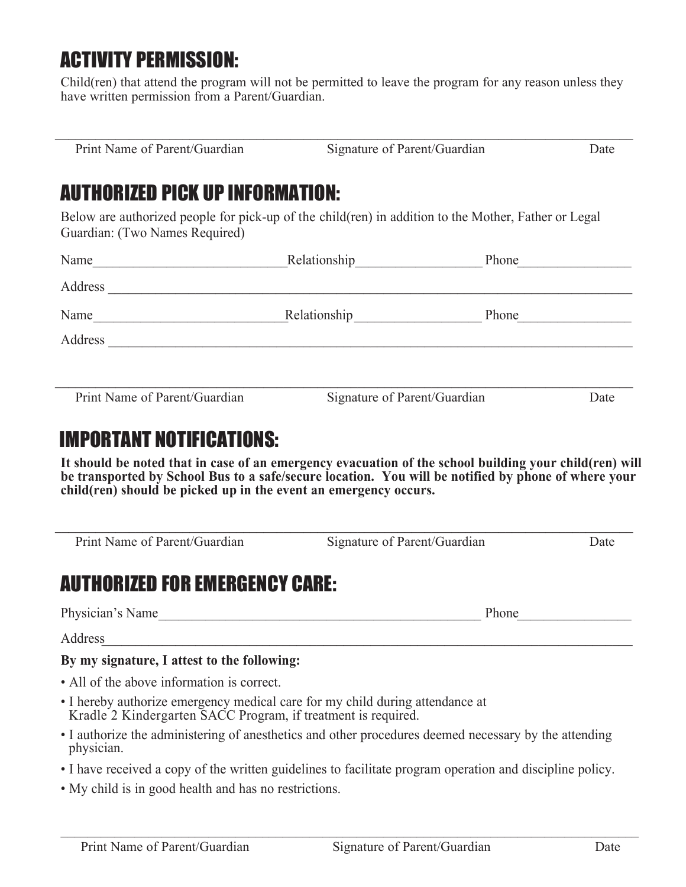# ACTIVITY PERMISSION:

Child(ren) that attend the program will not be permitted to leave the program for any reason unless they have written permission from a Parent/Guardian.

Print Name of Parent/Guardian Signature of Parent/Guardian Date

# AUTHORIZED PICK UP INFORMATION:

Below are authorized people for pick-up of the child(ren) in addition to the Mother, Father or Legal Guardian: (Two Names Required)

| Name                          | Relationship                 | Phone |      |
|-------------------------------|------------------------------|-------|------|
| Address                       |                              |       |      |
| Name                          | Relationship                 | Phone |      |
| Address                       |                              |       |      |
|                               |                              |       |      |
| Print Name of Parent/Guardian | Signature of Parent/Guardian |       | Date |

## IMPORTANT NOTIFICATIONS:

**It should be noted that in case of an emergency evacuation of the school building your child(ren) will be transported by School Bus to a safe/secure location. You will be notified by phone of where your child(ren) should be picked up in the event an emergency occurs.**

| Print Name of Parent/Guardian               | Signature of Parent/Guardian | Date |
|---------------------------------------------|------------------------------|------|
| AUTHORIZED FOR EMERGENCY CARE:              |                              |      |
| Physician's Name                            | Phone                        |      |
| Address                                     |                              |      |
| By my signature, I attest to the following: |                              |      |
| • All of the above information is correct.  |                              |      |

- I hereby authorize emergency medical care for my child during attendance at Kradle 2 Kindergarten SACC Program, if treatment is required.
- I authorize the administering of anesthetics and other procedures deemed necessary by the attending physician.
- I have received a copy of the written guidelines to facilitate program operation and discipline policy.
- My child is in good health and has no restrictions.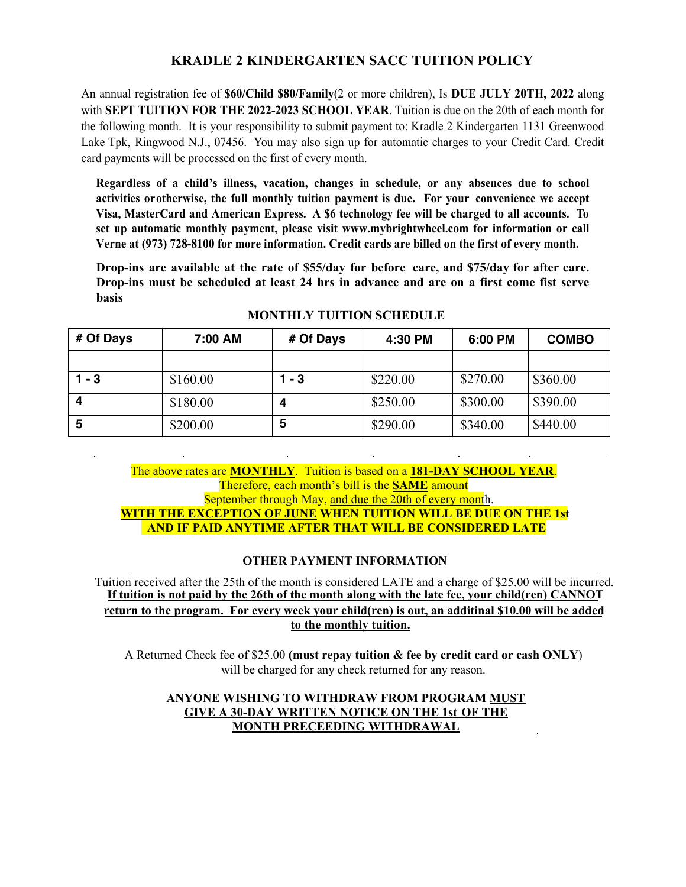### **KRADLE 2 KINDERGARTEN SACC TUITION POLICY**

An annual registration fee of **\$60/Child \$80/Family**(2 or more children), Is **DUE JULY 20TH, 2022** along with **SEPT TUITION FOR THE 2022-2023 SCHOOL YEAR**. Tuition is due on the 20th of each month for the following month. It is your responsibility to submit payment to: Kradle 2 Kindergarten 1131 Greenwood Lake Tpk, Ringwood N.J., 07456. You may also sign up for automatic charges to your Credit Card. Credit card payments will be processed on the first of every month.

**Regardless of a child's illness, vacation, changes in schedule, or any absences due to school activities or otherwise, the full monthly tuition payment is due. For your convenience we accept Visa, MasterCard and American Express. A \$6 technology fee will be charged to all accounts. To set up automatic monthly payment, please visit www.mybrightwheel.com for information or call Verne at (973) 728-8100 for more information. Credit cards are billed on the first of every month.**

**Drop-ins are available at the rate of \$55/day for before care, and \$75/day for after care. Drop-ins must be scheduled at least 24 hrs in advance and are on a first come fist serve basis**

| # Of Days | 7:00 AM  | # Of Days | 4:30 PM  | 6:00 PM  | <b>COMBO</b> |
|-----------|----------|-----------|----------|----------|--------------|
|           |          |           |          |          |              |
| 1 - 3     | \$160.00 | $1 - 3$   | \$220.00 | \$270.00 | \$360.00     |
|           | \$180.00 |           | \$250.00 | \$300.00 | \$390.00     |
| 5         | \$200.00 | 5         | \$290.00 | \$340.00 | \$440.00     |

#### **MONTHLY TUITION SCHEDULE**

The above rates are **MONTHLY**. Tuition is based on a **181-DAY SCHOOL YEAR**. Therefore, each month's bill is the **SAME** amount September through May, and due the 20th of every month. **WITH THE EXCEPTION OF JUNE WHEN TUITION WILL BE DUE ON THE 1st AND IF PAID ANYTIME AFTER THAT WILL BE CONSIDERED LATE**

#### **OTHER PAYMENT INFORMATION**

Tuition received after the 25th of the month is considered LATE and a charge of \$25.00 will be incurred. **If tuition is not paid by the 26th of the month along with the late fee, your child(ren) CANNOT return to the program. For every week your child(ren) is out, an additinal \$10.00 will be added to the monthly tuition.**

A Returned Check fee of \$25.00 **(must repay tuition & fee by credit card or cash ONLY**) will be charged for any check returned for any reason.

#### **ANYONE WISHING TO WITHDRAW FROM PROGRAM MUST GIVE A 30-DAY WRITTEN NOTICE ON THE 1st OF THE MONTH PRECEEDING WITHDRAWAL**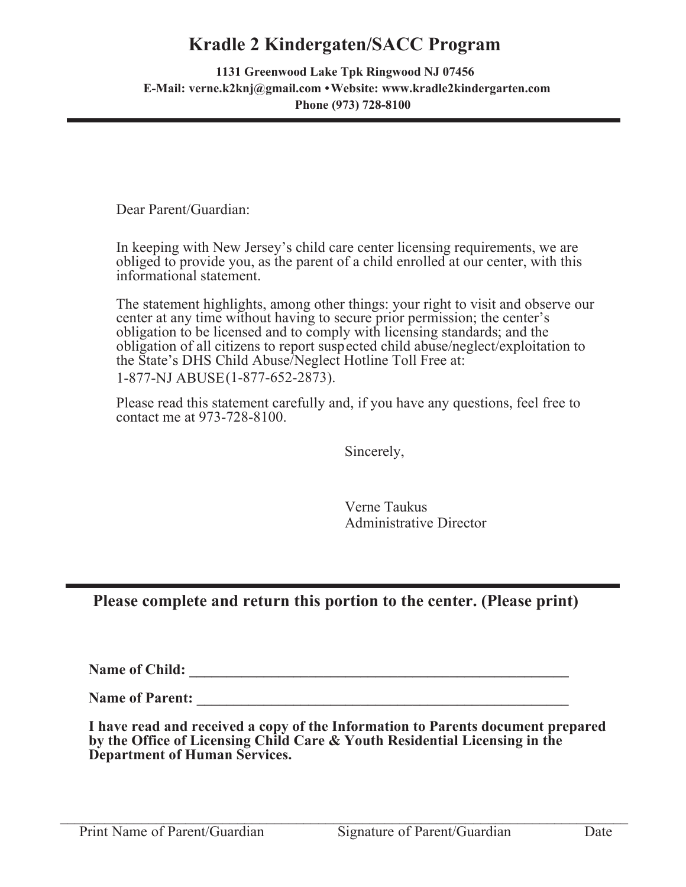### **Kradle 2 Kindergaten/SACC Program**

 **1131 Greenwood Lake Tpk Ringwood NJ 07456 E-Mail: verne.k2knj@gmail.com • Website: www.kradle2kindergarten.com Phone (973) 728-8100**

Dear Parent/Guardian:

In keeping with New Jersey's child care center licensing requirements, we are obliged to provide you, as the parent of a child enrolled at our center, with this informational statement.

The statement highlights, among other things: your right to visit and observe our center at any time without having to secure prior permission; the center's obligation to be licensed and to comply with licensing standards; and the obligation of all citizens to report suspected child abuse/neglect/exploitation to the State's DHS Child Abuse/Neglect Hotline Toll Free at: 1-877-NJ ABUSE (1-877-652-2873).

Please read this statement carefully and, if you have any questions, feel free to contact me at 973-728-8100.

Sincerely,

Verne Taukus Administrative Director

### **Please complete and return this portion to the center. (Please print)**

**Name of Child: \_\_\_\_\_\_\_\_\_\_\_\_\_\_\_\_\_\_\_\_\_\_\_\_\_\_\_\_\_\_\_\_\_\_\_\_\_\_\_\_\_\_\_\_\_\_\_\_\_\_\_**

**Name of Parent: \_\_\_\_\_\_\_\_\_\_\_\_\_\_\_\_\_\_\_\_\_\_\_\_\_\_\_\_\_\_\_\_\_\_\_\_\_\_\_\_\_\_\_\_\_\_\_\_\_\_**

**I have read and received a copy of the Information to Parents document prepared by the Office of Licensing Child Care & Youth Residential Licensing in the Department of Human Services.** 

 $\mathcal{L}_\mathcal{L} = \{ \mathcal{L}_\mathcal{L} = \{ \mathcal{L}_\mathcal{L} = \{ \mathcal{L}_\mathcal{L} = \{ \mathcal{L}_\mathcal{L} = \{ \mathcal{L}_\mathcal{L} = \{ \mathcal{L}_\mathcal{L} = \{ \mathcal{L}_\mathcal{L} = \{ \mathcal{L}_\mathcal{L} = \{ \mathcal{L}_\mathcal{L} = \{ \mathcal{L}_\mathcal{L} = \{ \mathcal{L}_\mathcal{L} = \{ \mathcal{L}_\mathcal{L} = \{ \mathcal{L}_\mathcal{L} = \{ \mathcal{L}_\mathcal{$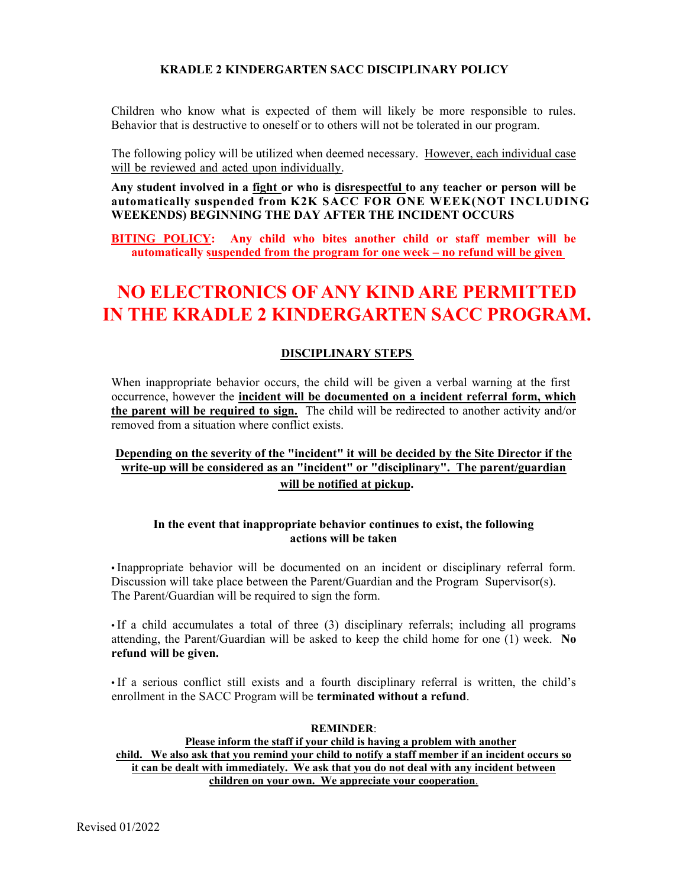#### **KRADLE 2 KINDERGARTEN SACC DISCIPLINARY POLICY**

Children who know what is expected of them will likely be more responsible to rules. Behavior that is destructive to oneself or to others will not be tolerated in our program.

The following policy will be utilized when deemed necessary. However, each individual case will be reviewed and acted upon individually.

**Any student involved in a fight or who is disrespectful to any teacher or person will be automatically suspended from K2K SACC FOR ONE WEEK(NOT INCLUDING WEEKENDS) BEGINNING THE DAY AFTER THE INCIDENT OCCURS**

**BITING POLICY: Any child who bites another child or staff member will be** automatically suspended from the program for one week – no refund will be given

### **NO ELECTRONICS OF ANY KIND ARE PERMITTED IN THE KRADLE 2 KINDERGARTEN SACC PROGRAM.**

#### **DISCIPLINARY STEPS**

When inappropriate behavior occurs, the child will be given a verbal warning at the first occurrence, however the **incident will be documented on a incident referral form, which the parent will be required to sign.** The child will be redirected to another activity and/or removed from a situation where conflict exists.

#### **Depending on the severity of the "incident" it will be decided by the Site Director if the write-up will be considered as an "incident" or "disciplinary". The parent/guardian will be notified at pickup.**

#### **In the event that inappropriate behavior continues to exist, the following actions will be taken**

• Inappropriate behavior will be documented on an incident or disciplinary referral form. Discussion will take place between the Parent/Guardian and the Program Supervisor(s). The Parent/Guardian will be required to sign the form.

• If a child accumulates a total of three (3) disciplinary referrals; including all programs attending, the Parent/Guardian will be asked to keep the child home for one (1) week. **No refund will be given.**

• If a serious conflict still exists and a fourth disciplinary referral is written, the child's enrollment in the SACC Program will be **terminated without a refund**.

#### **REMINDER**: **Please inform the staff if your child is having a problem with another child. We also ask that you remind your child to notify a staff member if an incident occurs so it can be dealt with immediately. We ask that you do not deal with any incident between children on your own. We appreciate your cooperation**.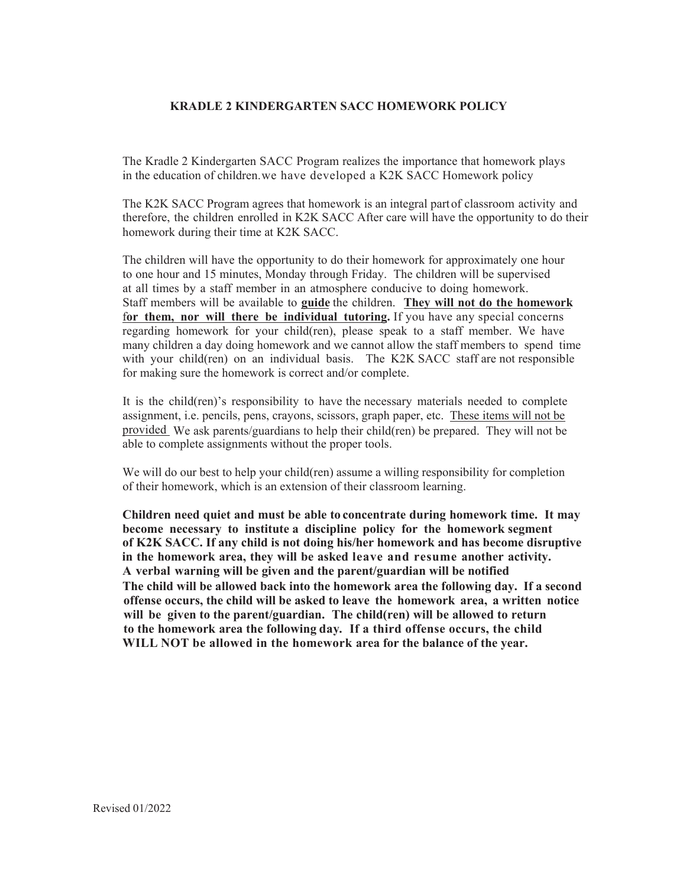#### **KRADLE 2 KINDERGARTEN SACC HOMEWORK POLICY**

The Kradle 2 Kindergarten SACC Program realizes the importance that homework plays in the education of children. we have developed a K2K SACC Homework policy

The K2K SACC Program agrees that homework is an integral part of classroom activity and homework during their time at K2K SACC. therefore, the children enrolled in K2K SACC After care will have the opportunity to do their

The children will have the opportunity to do their homework for approximately one hour to one hour and 15 minutes, Monday through Friday. The children will be supervised at all times by a staff member in an atmosphere conducive to doing homework. Staff members will be available to **guide** the children. **They will not do the homework**  f**or them, nor will there be individual tutoring.** If you have any special concerns regarding homework for your child(ren), please speak to a staff member. We have many children a day doing homework and we cannot allow the staff members to spend time with your child(ren) on an individual basis. The K2K SACC staff are not responsible for making sure the homework is correct and/or complete.

It is the child(ren)'s responsibility to have the necessary materials needed to complete assignment, i.e. pencils, pens, crayons, scissors, graph paper, etc. These items will not be provided We ask parents/guardians to help their child(ren) be prepared. They will not be able to complete assignments without the proper tools.

We will do our best to help your child(ren) assume a willing responsibility for completion of their homework, which is an extension of their classroom learning.

**Children need quiet and must be able to concentrate during homework time. It may become necessary to institute a discipline policy for the homework segment of K2K SACC. If any child is not doing his/her homework and has become disruptive in the homework area, they will be asked leave and resume another activity. The child will be allowed back into the homework area the following day. If a second offense occurs, the child will be asked to leave the homework area, a written notice will be given to the parent/guardian. The child(ren) will be allowed to return to the homework area the following day. If a third offense occurs, the child WILL NOT be allowed in the homework area for the balance of the year. A verbal warning will be given and the parent/guardian will be notified**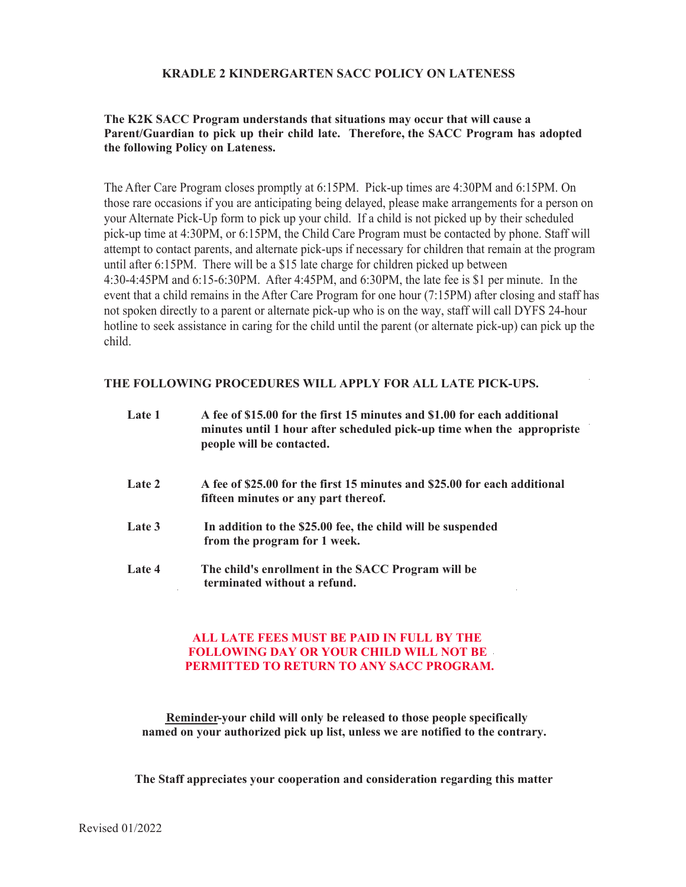#### **KRADLE 2 KINDERGARTEN SACC POLICY ON LATENESS**

#### **The K2K SACC Program understands that situations may occur that will cause a Parent/Guardian to pick up their child late. Therefore, the SACC Program has adopted the following Policy on Lateness.**

The After Care Program closes promptly at  $6:15PM$ . Pick-up times are  $4:30PM$  and  $6:15PM$ . On those rare occasions if you are anticipating being delayed, please make arrangements for a person on your Alternate Pick-Up form to pick up your child. If a child is not picked up by their scheduled pick-up time at 4:30PM, or 6:15PM, the Child Care Program must be contacted by phone. Staff will attempt to contact parents, and alternate pick-ups if necessary for children that remain at the program until after 6:15PM. There will be a \$15 late charge for children picked up between  $4:30-4:45PM$  and  $6:15-6:30PM$ . After  $4:45PM$ , and  $6:30PM$ , the late fee is \$1 per minute. In the event that a child remains in the After Care Program for one hour (7:15PM) after closing and staff has not spoken directly to a parent or alternate pick-up who is on the way, staff will call DYFS 24-hour hotline to seek assistance in caring for the child until the parent (or alternate pick-up) can pick up the child.

#### **THE FOLLOWING PROCEDURES WILL APPLY FOR ALL LATE PICK-UPS.**

| Late 1 | A fee of \$15.00 for the first 15 minutes and \$1.00 for each additional<br>minutes until 1 hour after scheduled pick-up time when the appropriste<br>people will be contacted. |
|--------|---------------------------------------------------------------------------------------------------------------------------------------------------------------------------------|
| Late 2 | A fee of \$25.00 for the first 15 minutes and \$25.00 for each additional<br>fifteen minutes or any part thereof.                                                               |
| Late 3 | In addition to the \$25.00 fee, the child will be suspended<br>from the program for 1 week.                                                                                     |
| Late 4 | The child's enrollment in the SACC Program will be<br>terminated without a refund.                                                                                              |

#### **ALL LATE FEES MUST BE PAID IN FULL BY THE FOLLOWING DAY OR YOUR CHILD WILL NOT BE PERMITTED TO RETURN TO ANY SACC PROGRAM.**

**Reminder-your child will only be released to those people specifically named on your authorized pick up list, unless we are notified to the contrary.** 

**The Staff appreciates your cooperation and consideration regarding this matter**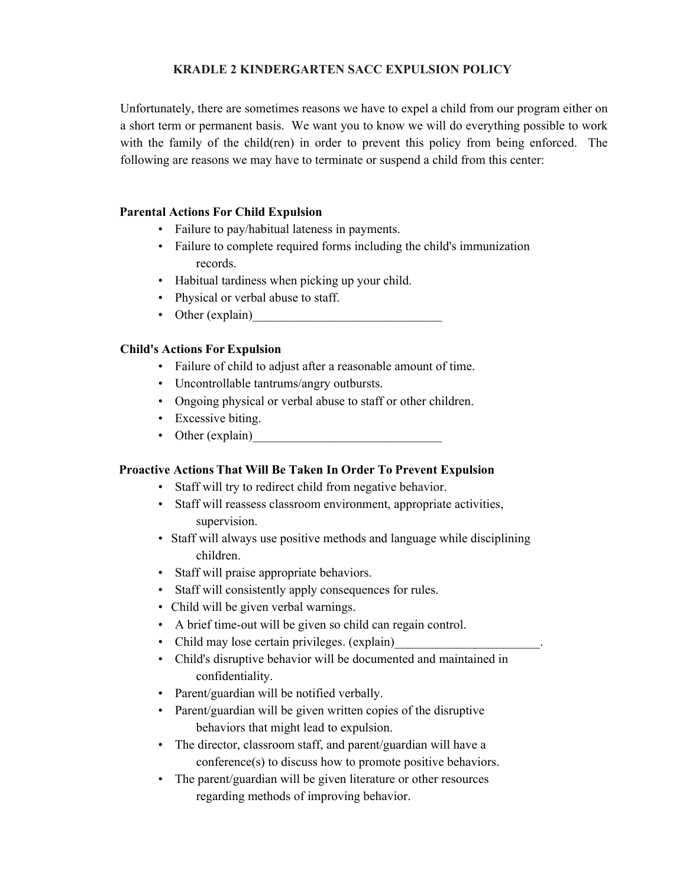#### **KRADLE 2 KINDERGARTEN SACC EXPULSION POLICY**

Unfortunately, there are sometimes reasons we have to expel a child from our program either on a short term or permanent basis. We want you to know we will do everything possible to work with the family of the child(ren) in order to prevent this policy from being enforced. The following are reasons we may have to terminate or suspend a child from this center:

#### **Parental Actions For Child Expulsion**

- Failure to pay/habitual lateness in payments.
- Failure to complete required forms including the child's immunization records
- Habitual tardiness when picking up your child.
- Physical or verbal abuse to staff.
- $\bullet$  Other (explain)

#### **Child's Actions For Expulsion**

- Failure of child to adjust after a reasonable amount of time.
- Uncontrollable tantrums/angry outbursts.
- Ongoing physical or verbal abuse to staff or other children.
- Excessive biting.
- $\bullet$  Other (explain)

#### **Proactive Actions That Will Be Taken In Order To Prevent Expulsion**

- Staff will try to redirect child from negative behavior.
- Staff will reassess classroom environment, appropriate activities, supervision.
- Staff will always use positive methods and language while disciplining children.
- Staff will praise appropriate behaviors.
- Staff will consistently apply consequences for rules.
- Child will be given verbal warnings.
- A brief time-out will be given so child can regain control.
- Child may lose certain privileges. (explain)
- Child's disruptive behavior will be documented and maintained in confidentiality.
- Parent/guardian will be notified verbally.
- Parent/guardian will be given written copies of the disruptive behaviors that might lead to expulsion.
- The director, classroom staff, and parent/guardian will have a  $conference(s)$  to discuss how to promote positive behaviors.
- The parent/guardian will be given literature or other resources regarding methods of improving behavior.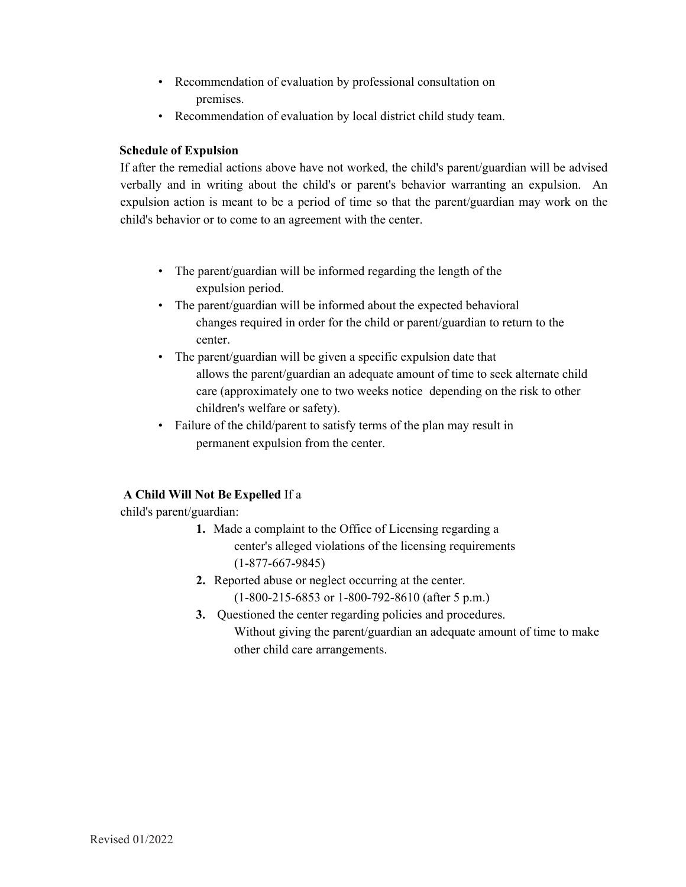- Recommendation of evaluation by professional consultation on premises.
- Recommendation of evaluation by local district child study team.

### **Schedule of Expulsion**

If after the remedial actions above have not worked, the child's parent/guardian will be advised verbally and in writing about the child's or parent's behavior warranting an expulsion. An expulsion action is meant to be a period of time so that the parent/guardian may work on the child's behavior or to come to an agreement with the center.

- The parent/guardian will be informed regarding the length of the expulsion period.
- The parent/guardian will be informed about the expected behavioral changes required in order for the child or parent/guardian to return to the center.
- The parent/guardian will be given a specific expulsion date that allows the parent/guardian an adequate amount of time to seek alternate child care (approximately one to two weeks notice depending on the risk to other children's welfare or safety).
- Failure of the child/parent to satisfy terms of the plan may result in permanent expulsion from the center.

### **A Child Will Not Be Expelled** If a

child's parent/guardian:

- **1.** Made a complaint to the Office of Licensing regarding a center's alleged violations of the licensing requirements (1-877-667-9845)
- **2.** Reported abuse or neglect occurring at the center. (1-800-215-6853 or 1-800-792-8610 (after 5 p.m.)
- **3.** Questioned the center regarding policies and procedures. Without giving the parent/guardian an adequate amount of time to make other child care arrangements.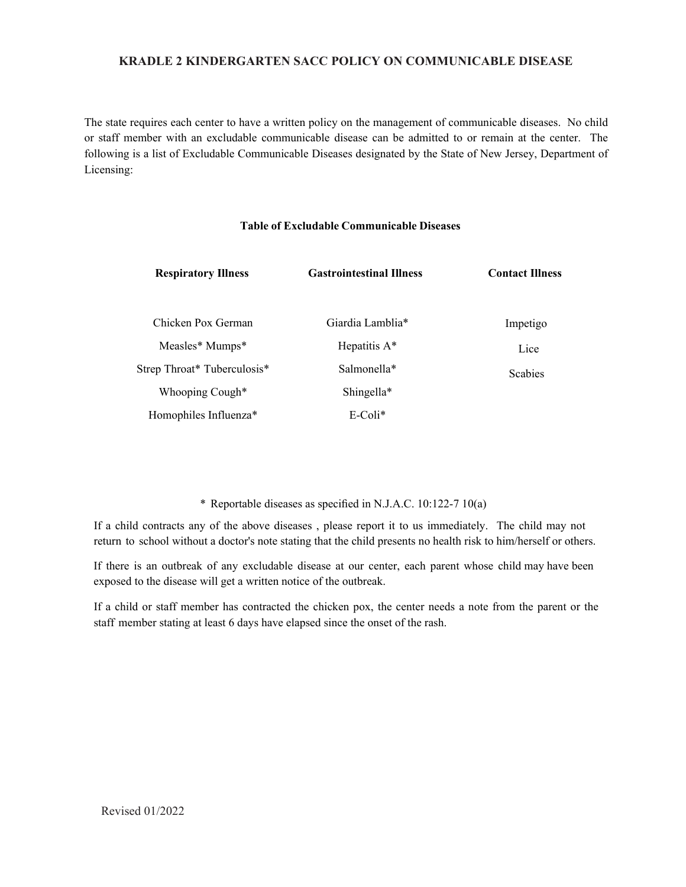#### **KRADLE 2 KINDERGARTEN SACC POLICY ON COMMUNICABLE DISEASE**

The state requires each center to have a written policy on the management of communicable diseases. No child or staff member with an excludable communicable disease can be admitted to or remain at the center. The following is a list of Excludable Communicable Diseases designated by the State of New Jersey, Department of Licensing:

#### **Table of Excludable Communicable Diseases**

| <b>Respiratory Illness</b>        | <b>Gastrointestinal Illness</b> | <b>Contact Illness</b> |
|-----------------------------------|---------------------------------|------------------------|
| Chicken Pox German                | Giardia Lamblia*                | Impetigo               |
| Measles* Mumps*                   | Hepatitis $A^*$                 | Lice                   |
| Strep Throat* Tuberculosis*       | Salmonella*                     | <b>Scabies</b>         |
| Whooping Cough*                   | Shingella*                      |                        |
| Homophiles Influenza <sup>*</sup> | $E$ -Coli $*$                   |                        |

#### \* Reportable diseases as specified in N.J.A.C. 10:122-7 10(a)

If a child contracts any of the above diseases , please report it to us immediately. The child may not return to school without a doctor's note stating that the child presents no health risk to him/herself or others.

If there is an outbreak of any excludable disease at our center, each parent whose child may have been exposed to the disease will get a written notice of the outbreak.

If a child or staff member has contracted the chicken pox, the center needs a note from the parent or the staff member stating at least 6 days have elapsed since the onset of the rash.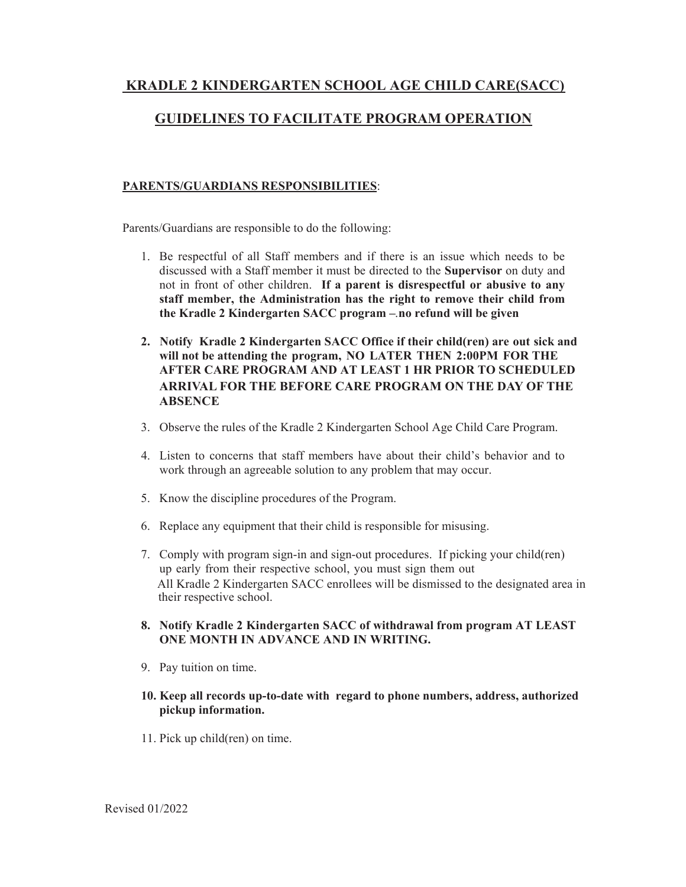### **KRADLE 2 KINDERGARTEN SCHOOL AGE CHILD CARE(SACC)**

### **GUIDELINES TO FACILITATE PROGRAM OPERATION**

#### **PARENTS/GUARDIANS RESPONSIBILITIES**:

Parents/Guardians are responsible to do the following:

- 1. Be respectful of all Staff members and if there is an issue which needs to be discussed with a Staff member it must be directed to the **Supervisor** on duty and not in front of other children. **If a parent is disrespectful or abusive to any staff member, the Administration has the right to remove their child from the Kradle 2 Kindergarten SACC program – no refund will be given**
- **2. Notify Kradle 2 Kindergarten SACC Office if their child(ren) are out sick and will not be attending the program, NO LATER THEN 2:00PM FOR THE AFTER CARE PROGRAM AND AT LEAST 1 HR PRIOR TO SCHEDULED ARRIVAL FOR THE BEFORE CARE PROGRAM ON THE DAY OF THE ABSENCE**
- 3. Observe the rules of the Kradle 2 Kindergarten School Age Child Care Program.
- 4. Listen to concerns that staff members have about their child's behavior and to work through an agreeable solution to any problem that may occur.
- 5. Know the discipline procedures of the Program.
- 6. Replace any equipment that their child is responsible for misusing.
- 7. Comply with program sign-in and sign-out procedures. If picking your child(ren) up early from their respective school, you must sign them out All Kradle 2 Kindergarten SACC enrollees will be dismissed to the designated area in their respective school.
- **8. Notify Kradle 2 Kindergarten SACC of withdrawal from program AT LEAST** . **ONE MONTH IN ADVANCE AND IN WRITING.**
- 9. Pay tuition on time.

#### **10. Keep all records up-to-date with regard to phone numbers, address, authorized pickup information.**

11. Pick up child(ren) on time.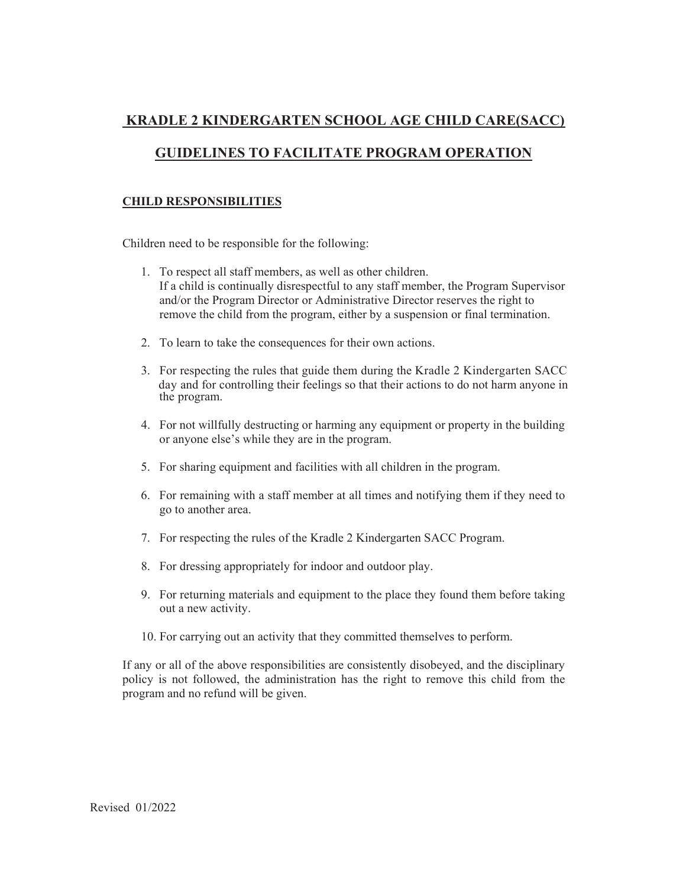# **KRADLE 2 KINDERGARTEN SCHOOL AGE CHILD CARE(SACC)**

### **GUIDELINES TO FACILITATE PROGRAM OPERATION**

#### **CHILD RESPONSIBILITIES**

Children need to be responsible for the following:

- 1. To respect all staff members, as well as other children. If a child is continually disrespectful to any staff member, the Program Supervisor and/or the Program Director or Administrative Director reserves the right to remove the child from the program, either by a suspension or final termination.
- 2. To learn to take the consequences for their own actions.
- 3. For respecting the rules that guide them during the Kradle 2 Kindergarten SACC day and for controlling their feelings so that their actions to do not harm anyone in the program.
- 4. For not willfully destructing or harming any equipment or property in the building or anyone else's while they are in the program.
- 5. For sharing equipment and facilities with all children in the program.
- 6. For remaining with a staff member at all times and notifying them if they need to go to another area.
- 7. For respecting the rules of the Kradle 2 Kindergarten SACC Program.
- 8. For dressing appropriately for indoor and outdoor play.
- 9. For returning materials and equipment to the place they found them before taking out a new activity.
- 10. For carrying out an activity that they committed themselves to perform.

If any or all of the above responsibilities are consistently disobeyed, and the disciplinary policy is not followed, the administration has the right to remove this child from the program and no refund will be given.